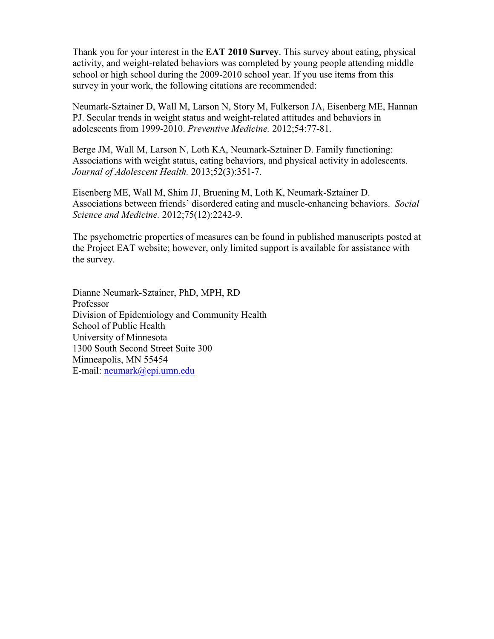Thank you for your interest in the **EAT 2010 Survey**. This survey about eating, physical activity, and weight-related behaviors was completed by young people attending middle school or high school during the 2009-2010 school year. If you use items from this survey in your work, the following citations are recommended:

Neumark-Sztainer D, Wall M, Larson N, Story M, Fulkerson JA, Eisenberg ME, Hannan PJ. Secular trends in weight status and weight-related attitudes and behaviors in adolescents from 1999-2010. *Preventive Medicine.* 2012;54:77-81.

Berge JM, Wall M, Larson N, Loth KA, Neumark-Sztainer D. Family functioning: Associations with weight status, eating behaviors, and physical activity in adolescents. *Journal of Adolescent Health.* 2013;52(3):351-7.

Eisenberg ME, Wall M, Shim JJ, Bruening M, Loth K, Neumark-Sztainer D. Associations between friends' disordered eating and muscle-enhancing behaviors. *Social Science and Medicine.* 2012;75(12):2242-9.

The psychometric properties of measures can be found in published manuscripts posted at the Project EAT website; however, only limited support is available for assistance with the survey.

Dianne Neumark-Sztainer, PhD, MPH, RD Professor Division of Epidemiology and Community Health School of Public Health University of Minnesota 1300 South Second Street Suite 300 Minneapolis, MN 55454 E-mail: [neumark@epi.umn.edu](mailto:neumark@epi.umn.edu)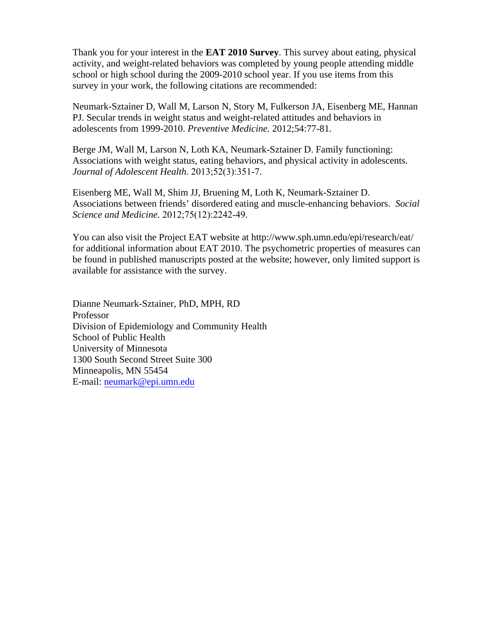Thank you for your interest in the **EAT 2010 Survey**. This survey about eating, physical activity, and weight-related behaviors was completed by young people attending middle school or high school during the 2009-2010 school year. If you use items from this survey in your work, the following citations are recommended:

Neumark-Sztainer D, Wall M, Larson N, Story M, Fulkerson JA, Eisenberg ME, Hannan PJ. Secular trends in weight status and weight-related attitudes and behaviors in adolescents from 1999-2010. *Preventive Medicine.* 2012;54:77-81.

Berge JM, Wall M, Larson N, Loth KA, Neumark-Sztainer D. Family functioning: Associations with weight status, eating behaviors, and physical activity in adolescents. *Journal of Adolescent Health.* 2013;52(3):351-7.

Eisenberg ME, Wall M, Shim JJ, Bruening M, Loth K, Neumark-Sztainer D. Associations between friends' disordered eating and muscle-enhancing behaviors. *Social Science and Medicine.* 2012;75(12):2242-49.

You can also visit the Project EAT website at http://www.sph.umn.edu/epi/research/eat/ for additional information about EAT 2010. The psychometric properties of measures can be found in published manuscripts posted at the website; however, only limited support is available for assistance with the survey.

Dianne Neumark-Sztainer, PhD, MPH, RD Professor Division of Epidemiology and Community Health School of Public Health University of Minnesota 1300 South Second Street Suite 300 Minneapolis, MN 55454 E-mail: neumark@epi.umn.edu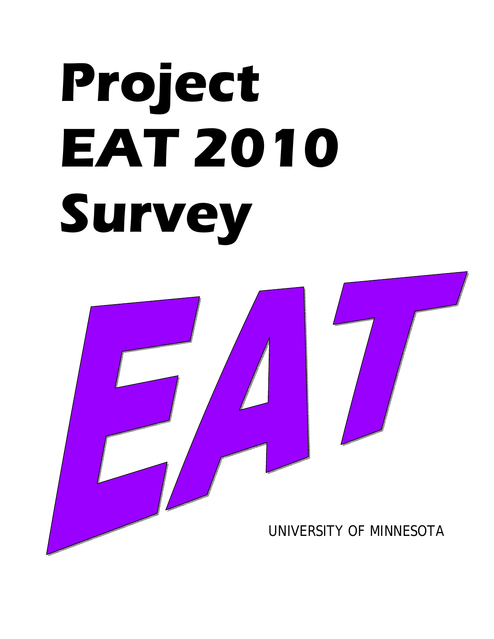# **Project EAT 2010 Survey**

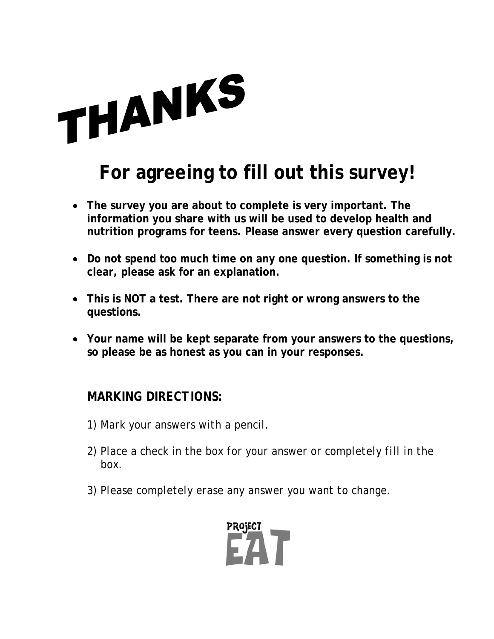

# **For agreeing to fill out this survey!**

- **The survey you are about to complete is very important. The information you share with us will be used to develop health and nutrition programs for teens. Please answer every question carefully.**
- **Do not spend too much time on any one question. If something is not clear, please ask for an explanation.**
- **This is NOT a test. There are not right or wrong answers to the questions.**
- **Your name will be kept separate from your answers to the questions, so please be as honest as you can in your responses.**

## *MARKING DIRECTIONS:*

- *1) Mark your answers with a pencil.*
- *2) Place a check in the box for your answer or completely fill in the box.*
- *3) Please completely erase any answer you want to change.*

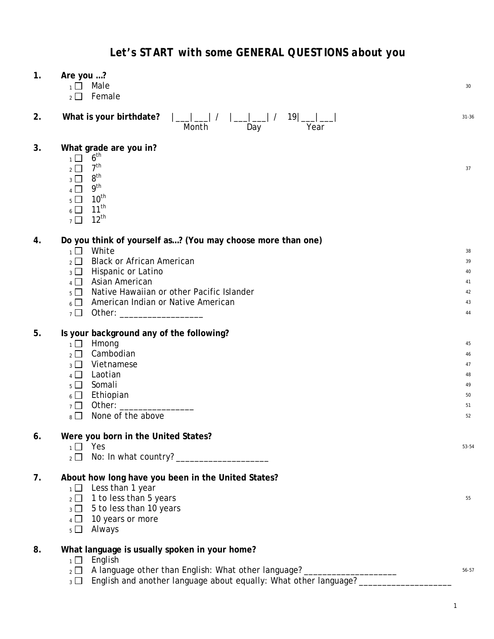| 1. | Are you ?<br>Male<br>$\overline{1}$<br>Female<br>$\overline{2}$                                                                                                                                                                                                                                                                                                                  | 30                                           |
|----|----------------------------------------------------------------------------------------------------------------------------------------------------------------------------------------------------------------------------------------------------------------------------------------------------------------------------------------------------------------------------------|----------------------------------------------|
| 2. | What is your birthdate?<br> __ __  /    __ __  /   19 __ ___ <br>Day<br>Month<br>Year                                                                                                                                                                                                                                                                                            | $31 - 36$                                    |
| 3. | What grade are you in?<br>6 <sup>th</sup><br>$1\Box$<br>7 <sup>th</sup><br>$2 \Box$<br>8 <sup>th</sup><br>$3 \Box$<br>9 <sup>th</sup><br>$4$ $\Box$<br>$10^{th}$<br>$5\Box$<br>$11^{th}$<br>$6\Box$<br>$12^{th}$<br>$7\Box$                                                                                                                                                      | 37                                           |
| 4. | Do you think of yourself as? (You may choose more than one)<br>White<br>$\overline{1}$<br><b>Black or African American</b><br>$\overline{2}$ $\Box$<br>Hispanic or Latino<br>$_3$ $\Box$<br>Asian American<br>$\overline{4}$<br>Native Hawaiian or other Pacific Islander<br>$5 \Box$<br>American Indian or Native American<br>$6 \Box$<br>Other: ___________________<br>$7\Box$ | 38<br>39<br>40<br>41<br>42<br>43<br>44       |
| 5. | Is your background any of the following?<br>Hmong<br>$1 \Box$<br>Cambodian<br>$2\Box$<br>Vietnamese<br>$_3$ $\Box$<br>Laotian<br>$4\Box$<br>Somali<br>$5\Box$<br>Ethiopian<br>$6\Box$<br>Other: ____________<br>$7\Box$<br>None of the above<br>$8\Box$                                                                                                                          | 45<br>46<br>47<br>48<br>49<br>50<br>51<br>52 |
| 6. | Were you born in the United States?<br>$_1 \Box$ Yes<br>$\overline{2}$ $\Box$                                                                                                                                                                                                                                                                                                    | 53-54                                        |
| 7. | About how long have you been in the United States?<br>$1 \square$ Less than 1 year<br>$_2 \square$ 1 to less than 5 years<br>5 to less than 10 years<br>$_3$ $\Box$<br>10 years or more<br>$4 \Box$<br>Always<br>$5\Box$                                                                                                                                                         | 55                                           |
| 8. | What language is usually spoken in your home?                                                                                                                                                                                                                                                                                                                                    |                                              |

 $1 \square$  English

|  |  | $_2\Box$ A language other than English: What other language? |  |  |  | 56-57 |
|--|--|--------------------------------------------------------------|--|--|--|-------|
|  |  |                                                              |  |  |  |       |

3  $\Box$  English and another language about equally: What other language? \_\_\_\_\_\_\_\_\_\_\_\_\_\_\_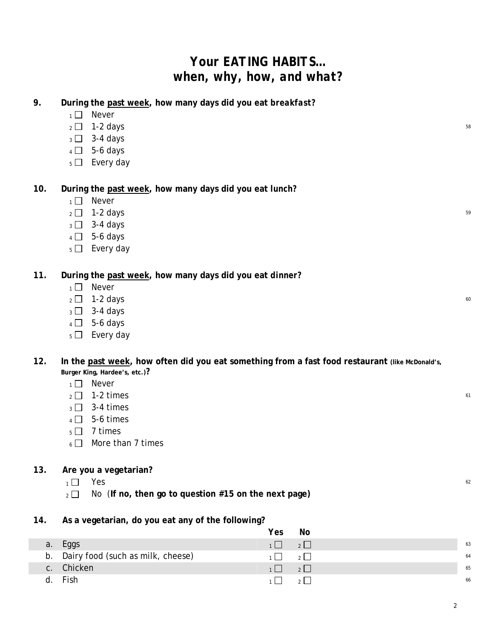# *Your EATING HABITS… when, why, how, and what?*

| During the past week, how many days did you eat breakfast? |  |
|------------------------------------------------------------|--|
|------------------------------------------------------------|--|

- $1 \square$  Never
- $2 \square$  1-2 days  $58$
- $3 3 4$  days
- $4 \Box$  5-6 days
- $5 \Box$  Every day

**10. During the past week, how many days did you eat** *lunch?*

- $1 \square$  Never
- $2 \square$  1-2 days  $59$
- $3 3 4$  days
- $4 \Box$  5-6 days
- $5 \Box$  Every day

**11. During the past week, how many days did you eat** *dinner?*

- $1 \square$  Never
- $2 \square$  1-2 days 60
- $3 3 4$  days
- $4 \Box$  5-6 days
- $5 \Box$  Every day

#### 12. In the past week, how often did you eat something from a fast food restaurant (like McDonald's, **Burger King, Hardee's, etc.)?**

- $1 \square$  Never
- $2 \square$  1-2 times 61
- $_3$   $\Box$  3-4 times
- $4 \square$  5-6 times
- $5 \square$  7 times
- $6 \Box$  More than 7 times

#### **13. Are you a vegetarian?**

- $\overline{1}$  Yes 62
- <sup>2</sup> No (**If no, then go to question #15 on the next page)**

#### **14. As a vegetarian, do you eat any of the following?**

|    |                                      | Yes                     | No                       |    |
|----|--------------------------------------|-------------------------|--------------------------|----|
| a. | Eggs                                 | $1 \square$ $2 \square$ |                          | 63 |
|    | b. Dairy food (such as milk, cheese) | $\overline{1}$          | $\overline{\phantom{a}}$ | 64 |
|    | c. Chicken                           | $\overline{1}$          | $\sqrt{2}$               | 65 |
|    | d. Fish                              |                         | $\overline{\mathcal{E}}$ | 66 |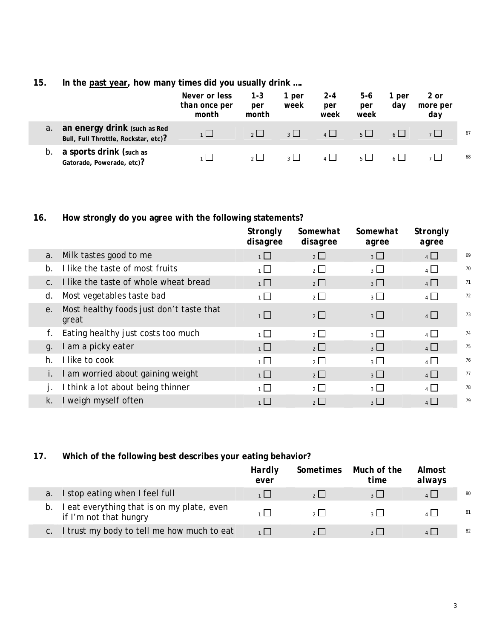#### **15. In the past year, how many times did you usually drink ….**

|             |                                                                      | Never or less<br>than once per<br>month | $1 - 3$<br>per<br>month | 1 per<br>week  | $2 - 4$<br>per<br>week | 5-6<br>per<br>week | 1 per<br>dav | 2 or<br>more per<br>day |    |
|-------------|----------------------------------------------------------------------|-----------------------------------------|-------------------------|----------------|------------------------|--------------------|--------------|-------------------------|----|
| $a_{\cdot}$ | an energy drink (such as Red<br>Bull, Full Throttle, Rockstar, etc)? |                                         | 2                       | $\overline{2}$ | $\mathbf{A}$           | $5 \mid$           |              |                         | 67 |
| b.          | a sports drink (such as<br>Gatorade, Powerade, etc)?                 |                                         | 2 <sup>1</sup>          | 2 <sup>1</sup> |                        |                    |              |                         | 68 |

## **16. How strongly do you agree with the following statements?**

|             |                                                   | <b>Strongly</b><br>disagree | Somewhat<br>disagree | Somewhat<br>agree | Strongly<br>agree |    |
|-------------|---------------------------------------------------|-----------------------------|----------------------|-------------------|-------------------|----|
| a.          | Milk tastes good to me                            | $\overline{1}$              | $\overline{2}$       | 3                 | $4\Box$           | 69 |
| $b$ .       | I like the taste of most fruits                   | 1                           | $2^{\Box}$           | 3 <sup>1</sup>    | $4 \Box$          | 70 |
| $C_{\cdot}$ | I like the taste of whole wheat bread             | 1                           | $2\Box$              | 3 <sup>1</sup>    | $4\Box$           | 71 |
| d.          | Most vegetables taste bad                         | $\overline{1}$              | $\overline{2}$       | $3 \Box$          | $\overline{4}$    | 72 |
| e.          | Most healthy foods just don't taste that<br>great | $1\Box$                     | $2\Box$              | 3 <sup>1</sup>    | $4\Box$           | 73 |
| f.          | Eating healthy just costs too much                | $\overline{1}$              | $\overline{2}$       | $3\Box$           | $4\Box$           | 74 |
| q.          | am a picky eater                                  | $\overline{1}$              | $2\Box$              | 3                 | $4\Box$           | 75 |
| h.          | I like to cook                                    | 1                           | $\overline{2}$       | $\overline{3}$    | $\overline{4}$    | 76 |
|             | am worried about gaining weight                   | 1                           | $\overline{2}$       | $3 \Box$          | $4$ $\Box$        | 77 |
|             | think a lot about being thinner                   | 1                           | $\overline{2}$       | 3 <sup>1</sup>    | $4\Box$           | 78 |
| k.          | I weigh myself often                              | $1 \Box$                    | $2$ $\Box$           | $3 \mid$          | 4                 | 79 |

#### **17. Which of the following best describes your eating behavior?**

|                                                                    | Hardly<br>ever | Sometimes | Much of the<br>time | Almost<br>always |    |
|--------------------------------------------------------------------|----------------|-----------|---------------------|------------------|----|
| I stop eating when I feel full                                     |                | 2         |                     |                  | 80 |
| eat everything that is on my plate, even<br>if I'm not that hungry |                |           |                     |                  | 81 |
| I trust my body to tell me how much to eat                         | 1 <sup>1</sup> | $\sim$ 1  |                     |                  | 82 |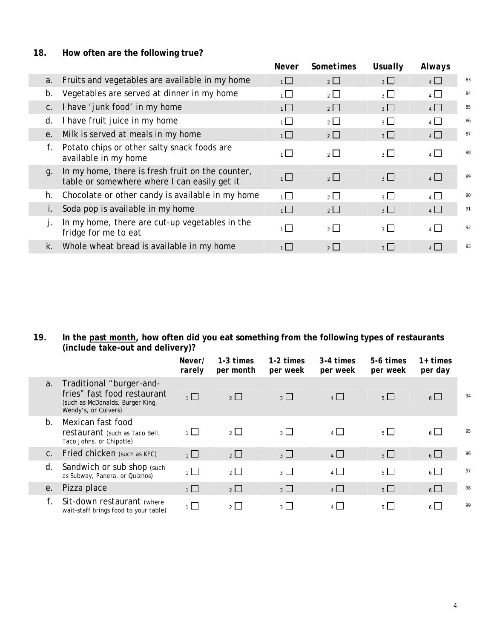#### **18. How often are the following true?**

|  |             |                                                                                                  | <b>Never</b>   | <b>Sometimes</b> | Usually        | Always         |    |
|--|-------------|--------------------------------------------------------------------------------------------------|----------------|------------------|----------------|----------------|----|
|  | a.          | Fruits and vegetables are available in my home                                                   | 1              | $2 \Box$         | 3 <sup>1</sup> | 4              | 83 |
|  | $b_{\cdot}$ | Vegetables are served at dinner in my home                                                       | $\overline{1}$ | $\overline{2}$   | $_3$ $\Box$    | $\overline{4}$ | 84 |
|  | $C_{\cdot}$ | I have 'junk food' in my home                                                                    | 1              | $2 \Box$         | $3 \Box$       | $4$ $\Box$     | 85 |
|  | d.          | I have fruit juice in my home                                                                    | $\overline{1}$ | $2\Box$          | 3 <sup>1</sup> | $4$ $\Box$     | 86 |
|  | $e_{\cdot}$ | Milk is served at meals in my home                                                               | $1$ $\Box$     | $2\Box$          | $3\Box$        | $4$ $\Box$     | 87 |
|  | f.          | Potato chips or other salty snack foods are<br>available in my home                              | $\overline{1}$ | $2\Box$          | 3              | 4              | 88 |
|  | q.          | In my home, there is fresh fruit on the counter,<br>table or somewhere where I can easily get it | $1\Box$        | $\overline{2}$   | $3\Box$        | $4\Box$        | 89 |
|  | h.          | Chocolate or other candy is available in my home                                                 | $\overline{1}$ | $2\sqrt{2}$      | $\overline{3}$ | $\overline{4}$ | 90 |
|  |             | Soda pop is available in my home                                                                 | 1              | $2 \Box$         | $3\Box$        | 4              | 91 |
|  |             | In my home, there are cut-up vegetables in the<br>fridge for me to eat                           | $\overline{1}$ | $2 \Box$         | 3 <sup>1</sup> | $4$ $\Box$     | 92 |
|  |             | k. Whole wheat bread is available in my home                                                     |                | 2                | 3              | $4 \mid$       | 93 |
|  |             |                                                                                                  |                |                  |                |                |    |

#### **19. In the past month, how often did you eat something from the following types of restaurants (include take-out and delivery)?**

|                |                                                                                                                     | Never/<br>rarely | $1-3$ times<br>per month | $1-2 \; times$<br>per week | 3-4 times<br>per week | 5-6 times<br>per week | $1+$ times<br>per day |    |
|----------------|---------------------------------------------------------------------------------------------------------------------|------------------|--------------------------|----------------------------|-----------------------|-----------------------|-----------------------|----|
| a <sub>1</sub> | Traditional "burger-and-<br>fries" fast food restaurant<br>(such as McDonalds, Burger King,<br>Wendy's, or Culvers) | $1\Box$          | $\overline{2}$           | $3 \Box$                   | 4                     | $5 \Box$              | $6 \Box$              | 94 |
| b <sub>1</sub> | Mexican fast food<br>restaurant (such as Taco Bell,<br>Taco Johns, or Chipotle)                                     | $\overline{1}$   | $\overline{2}$           | $_3$ $\Box$                | $4\Box$               | $5^{\circ}$           | $6 \Box$              | 95 |
| C.             | Fried chicken (such as KFC)                                                                                         | $1\Box$          | $\overline{2}$           | $3\Box$                    | $4\Box$               | $5\Box$               | $6\Box$               | 96 |
| d.             | Sandwich or sub shop (such<br>as Subway, Panera, or Quiznos)                                                        | $1\Box$          | $\overline{2}$           | $3\Box$                    | $4\Box$               | $5\Box$               | $6\Box$               | 97 |
| е.             | Pizza place                                                                                                         | $1\Box$          | $\overline{2}$           | $3\Box$                    | $4\Box$               | $5\Box$               | $6\Box$               | 98 |
|                | Sit-down restaurant (where<br>wait-staff brings food to your table)                                                 | $\overline{1}$   | $\overline{2}$           | 3 <sup>1</sup>             | $\overline{4}$        | 5 <sup>1</sup>        | $6 \Box$              | 99 |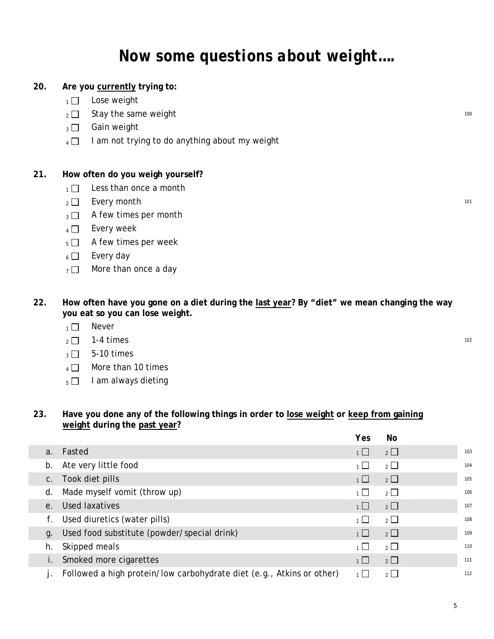# *Now some questions about weight….*

#### **20. Are you currently trying to:**

- $1 \Box$  Lose weight
- $_2 \Box$  Stay the same weight 100
- $_3 \Box$  Gain weight
- $_4 \Box$  I am not trying to do anything about my weight

#### **21. How often do you weigh yourself?**

- $1 \Box$  Less than once a month
- $2 \Box$  Every month 101
- $_3 \square$  A few times per month
- $_4$   $\Box$  Every week
- $5 \Box$  A few times per week
- $6 \Box$  Every day
- $7 \square$  More than once a day
- **22. How often have you gone on a diet during the last year? By "diet" we mean changing the way you eat so you can lose weight.** 
	- $1 \square$  Never
	- $_2$   $\Box$  1-4 times 102
	- $_3 \square$  5-10 times
	- $4 \Box$  More than 10 times
	- $_5$  | I am always dieting

#### **23. Have you done any of the following things in order to lose weight or keep from gaining weight during the past year?**

|                |                                                                       | Yes       | No             |     |
|----------------|-----------------------------------------------------------------------|-----------|----------------|-----|
| a <sub>1</sub> | Fasted                                                                | $1 \Box$  | $\overline{2}$ | 103 |
| b.             | Ate very little food                                                  | $1 \perp$ | $2^{\Box}$     | 104 |
| C.             | Took diet pills                                                       | $1 \Box$  | $\overline{2}$ | 105 |
| d.             | Made myself vomit (throw up)                                          | $1 \Box$  | $2^{\Box}$     | 106 |
|                | e. Used laxatives                                                     | $1 \Box$  | $\overline{2}$ | 107 |
|                | Used diuretics (water pills)                                          | $1 \perp$ | $2\Box$        | 108 |
| q.             | Used food substitute (powder/special drink)                           | $1 \perp$ | $\overline{2}$ | 109 |
| h.             | Skipped meals                                                         | 1         | $2\Box$        | 110 |
|                | Smoked more cigarettes                                                | 1         | $2\Box$        | 111 |
|                | Followed a high protein/low carbohydrate diet (e.g., Atkins or other) | $1 \Box$  | $2^{\Box}$     | 112 |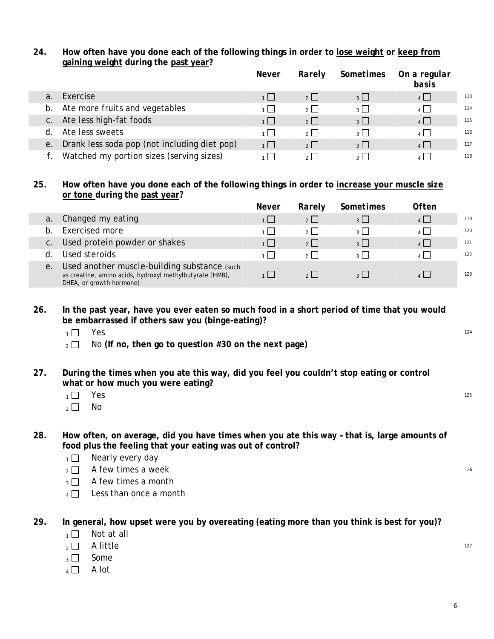#### **24. How often have you done each of the following things in order to lose weight or keep from gaining weight during the past year?**

|                |                                              | <i>Never</i> | Rarely         | Sometimes                | On a regular<br>basis |     |
|----------------|----------------------------------------------|--------------|----------------|--------------------------|-----------------------|-----|
| a.             | Exercise                                     |              |                | 3 <sup>1</sup>           | 4                     | 113 |
| b.             | Ate more fruits and vegetables               | 1 L L        | 2 <sup>1</sup> | $\overline{\mathcal{E}}$ | 4                     | 114 |
| $\mathsf{C}$ . | Ate less high-fat foods                      | 1            | 2              | $3\Box$                  | 4                     | 115 |
| d              | Ate less sweets                              | $1 \mid$     | 2 <sup>1</sup> | $\overline{3}$           | $\mathbf{A}$          | 116 |
| е.             | Drank less soda pop (not including diet pop) | 1            | 2              | $3\Box$                  | $4 \mid$              | 117 |
|                | Watched my portion sizes (serving sizes)     |              |                |                          |                       | 118 |

#### **25. How often have you done each of the following things in order to increase your muscle size or tone during the past year?**

|              |                                                                                                                                      | <i>Never</i> | Rarely         | <b>Sometimes</b> | Often      |     |
|--------------|--------------------------------------------------------------------------------------------------------------------------------------|--------------|----------------|------------------|------------|-----|
|              | a. Changed my eating                                                                                                                 |              | $2^{\circ}$    |                  |            | 119 |
| <sub>n</sub> | Exercised more                                                                                                                       |              |                |                  |            | 120 |
|              | c. Used protein powder or shakes                                                                                                     |              | 2 <sup>1</sup> | $\frac{1}{2}$    | $\sqrt{1}$ | 121 |
|              | Used steroids                                                                                                                        |              |                |                  |            | 122 |
| е.           | Used another muscle-building substance (such<br>as creatine, amino acids, hydroxyl methylbutyrate [HMB],<br>DHEA, or growth hormone) |              |                |                  |            | 123 |

#### **26. In the past year, have you ever eaten so much food in a short period of time that you would be embarrassed if others saw you (binge-eating)?**

- $\overline{1 \cup 1}$  Yes  $^{124}$
- 2 □ No (If no, then go to question #30 on the next page)

#### **27. During the times when you ate this way, did you feel you couldn't stop eating or control what or how much you were eating?**

- $\overline{1}$  Yes  $^{125}$
- $2 \square$  No

#### **28. How often, on average, did you have times when you ate this way – that is, large amounts of food plus the feeling that your eating was out of control?**

- $1 \square$  Nearly every day
- $2 \square$  A few times a week 126
- $\overline{3}$  A few times a month
- $4 \Box$  Less than once a month

#### **29. In general, how upset were you by overeating (eating more than you think is best for you)?**

- $1 \square$  Not at all
- $_2$   $\Box$  A little  $^{127}$
- $_3 \Box$  Some
- $4 \Box$  A lot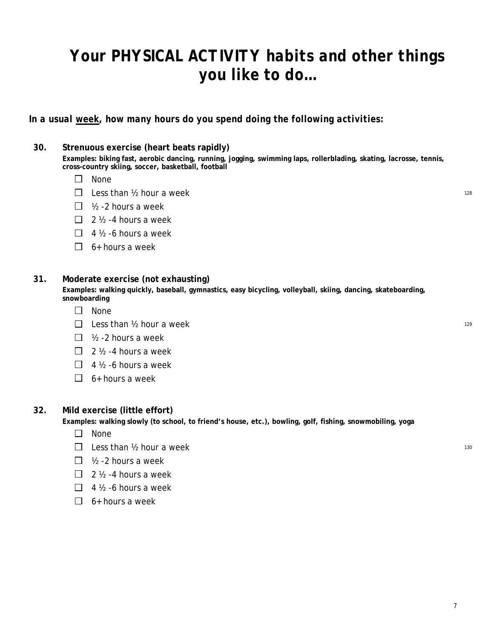# *Your PHYSICAL ACTIVITY habits and other things you like to do…*

*In a usual week, how many hours do you spend doing the following activities:* 

#### **30. Strenuous exercise (heart beats rapidly)**

**Examples: biking fast, aerobic dancing, running, jogging, swimming laps, rollerblading, skating, lacrosse, tennis, cross-country skiing, soccer, basketball, football**

- $\square$  None
- $\Box$  Less than  $\frac{1}{2}$  hour a week 128
- $\Box$  1/2 2 hours a week
- $\Box$  2 % -4 hours a week
- $\Box$  4  $\frac{1}{2}$  -6 hours a week
- $\Box$  6+ hours a week

#### **31. Moderate exercise (not exhausting)**

**Examples: walking quickly, baseball, gymnastics, easy bicycling, volleyball, skiing, dancing, skateboarding, snowboarding**

- $\square$  None
- $\Box$  Less than  $\frac{1}{2}$  hour a week
- $\Box$  1/2 2 hours a week
- $\Box$  2  $\frac{1}{2}$  -4 hours a week
- $\Box$  4  $\frac{1}{2}$  -6 hours a week
- $\Box$  6+ hours a week

#### **32. Mild exercise (little effort)**

**Examples: walking slowly (to school, to friend's house, etc.), bowling, golf, fishing, snowmobiling, yoga**

- $\Box$  None
- $\Box$  Less than  $\frac{1}{2}$  hour a week 130
- $\Box$  1/2 2 hours a week
- $\Box$  2  $\frac{1}{2}$  -4 hours a week
- $\Box$  4  $\frac{1}{2}$  -6 hours a week
- $\Box$  6+ hours a week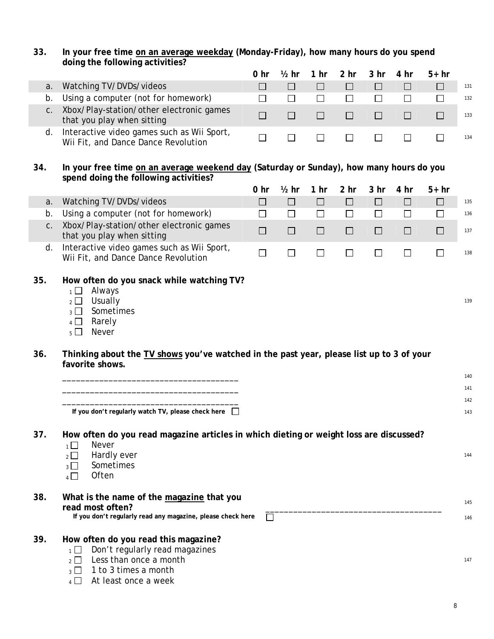| 33. | In your free time on an average weekday (Monday-Friday), how many hours do you spend |
|-----|--------------------------------------------------------------------------------------|
|     | doing the following activities?                                                      |

|     | doing the following activities?                                                                                                                                                                |                 |                  |                 |                 |                 |        |        |            |
|-----|------------------------------------------------------------------------------------------------------------------------------------------------------------------------------------------------|-----------------|------------------|-----------------|-----------------|-----------------|--------|--------|------------|
|     |                                                                                                                                                                                                | 0 <sub>hr</sub> | $\frac{1}{2}$ hr | 1 <sub>hr</sub> | 2 <sub>hr</sub> | 3 <sub>hr</sub> | 4 hr   | $5+hr$ |            |
| a.  | Watching TV/DVDs/videos                                                                                                                                                                        | П               | $\Box$           | $\Box$          | $\Box$          | $\Box$          | $\Box$ | $\Box$ | 131        |
| b.  | Using a computer (not for homework)                                                                                                                                                            | $\Box$          | $\Box$           | $\Box$          | $\Box$          | $\Box$          | $\Box$ | $\Box$ | 132        |
| C.  | Xbox/Play-station/other electronic games<br>that you play when sitting                                                                                                                         | $\Box$          | $\Box$           | $\Box$          | $\Box$          | $\Box$          | $\Box$ | $\Box$ | 133        |
| d.  | Interactive video games such as Wii Sport,<br>Wii Fit, and Dance Dance Revolution                                                                                                              | $\Box$          | $\Box$           | $\Box$          | $\Box$          | $\Box$          | $\Box$ | $\Box$ | 134        |
| 34. | In your free time on an average weekend day (Saturday or Sunday), how many hours do you<br>spend doing the following activities?                                                               |                 |                  |                 |                 |                 |        |        |            |
|     |                                                                                                                                                                                                | 0 <sub>hr</sub> | $\frac{1}{2}$ hr | 1 <sub>hr</sub> | 2 <sub>hr</sub> | 3 <sub>hr</sub> | 4 hr   | $5+hr$ |            |
| a.  | Watching TV/DVDs/videos                                                                                                                                                                        | $\Box$          | $\Box$           | $\Box$          | $\Box$          | □               | $\Box$ | $\Box$ | 135        |
| b.  | Using a computer (not for homework)                                                                                                                                                            | $\Box$          | $\Box$           | $\Box$          | $\Box$          | $\Box$          | $\Box$ | $\Box$ | 136        |
| C.  | Xbox/Play-station/other electronic games<br>that you play when sitting                                                                                                                         | $\Box$          | $\Box$           | $\Box$          | $\Box$          | $\Box$          | $\Box$ | $\Box$ | 137        |
| d.  | Interactive video games such as Wii Sport,<br>Wii Fit, and Dance Dance Revolution                                                                                                              | $\Box$          | $\Box$           | $\Box$          | $\Box$          | $\Box$          | $\Box$ | $\Box$ | 138        |
| 35. | How often do you snack while watching TV?<br>Always<br>$1\Box$<br>Usually<br>$\overline{2}$ $\Box$<br>Sometimes<br>$_3$ $\Box$<br>$4\Box$<br>Rarely<br>Never<br>$5\Box$                        |                 |                  |                 |                 |                 |        |        | 139        |
| 36. | Thinking about the TV shows you've watched in the past year, please list up to 3 of your<br>favorite shows.                                                                                    |                 |                  |                 |                 |                 |        |        |            |
|     |                                                                                                                                                                                                |                 |                  |                 |                 |                 |        |        | 140<br>141 |
|     |                                                                                                                                                                                                |                 |                  |                 |                 |                 |        |        | 142        |
|     | If you don't regularly watch TV, please check here $\Box$                                                                                                                                      |                 |                  |                 |                 |                 |        |        | 143        |
| 37. | How often do you read magazine articles in which dieting or weight loss are discussed?<br><b>Never</b><br>1<br>Hardly ever<br>$\overline{2}$<br>Sometimes<br>$3^{\square}$<br>Often<br>$4\Box$ |                 |                  |                 |                 |                 |        |        | 144        |
| 38. | What is the name of the magazine that you<br>read most often?<br>If you don't regularly read any magazine, please check here                                                                   | П               |                  |                 |                 |                 |        |        | 145<br>146 |
| 39. | How often do you read this magazine?<br>Don't regularly read magazines<br>$1 \Box$<br>Less than once a month<br>$2\mid$<br>1 to 3 times a month<br>$3$ $\Box$                                  |                 |                  |                 |                 |                 |        |        | 147        |

 $_4$   $\Box$  At least once a week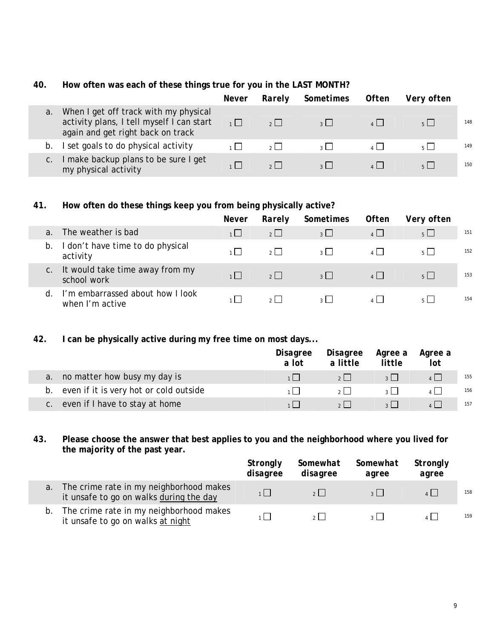#### **40. How often was each of these things true for you in the LAST MONTH?**

|    |                                                                                                                         | Never             | Rarely         | Sometimes      | Often | Very often     |     |
|----|-------------------------------------------------------------------------------------------------------------------------|-------------------|----------------|----------------|-------|----------------|-----|
| a. | When I get off track with my physical<br>activity plans, I tell myself I can start<br>again and get right back on track | $\Box$            | $2 \mid$       | 2 <sup>1</sup> |       | 5 <sup>1</sup> | 148 |
| b. | I set goals to do physical activity                                                                                     | $\sim$ 1 $\sim$ 1 | 2 <sup>1</sup> | $\sim$         |       | $5 \mid$       | 149 |
|    | I make backup plans to be sure I get<br>my physical activity                                                            |                   |                |                |       |                | 150 |

#### **41. How often do these things keep you from being physically active?**

|    |                                                     | Never | Rarely         | Sometimes                | <b>Often</b> | Very often     |     |
|----|-----------------------------------------------------|-------|----------------|--------------------------|--------------|----------------|-----|
| a. | The weather is bad                                  |       | $2 \mid$       | $3 \mid$                 | 4            | $5\Box$        | 151 |
| b. | I don't have time to do physical<br>activity        |       | $2 \mid$       | $\overline{\mathcal{E}}$ | $\mathbf{A}$ | 5 <sup>1</sup> | 152 |
| C. | It would take time away from my<br>school work      |       | $2 \mid$       | $\overline{3}$           | $\mathbf{A}$ | 5 <sup>1</sup> | 153 |
| d. | I'm embarrassed about how I look<br>when I'm active |       | 2 <sup>1</sup> | 2 <sup>1</sup>           |              |                | 154 |

#### **42. I can be physically active during my free time on most days...**

F

I.

|    |                                           | Disagree<br>a lot | Disagree<br>a little | Agree a<br>little       | Agree a<br>lot |     |
|----|-------------------------------------------|-------------------|----------------------|-------------------------|----------------|-----|
| a. | no matter how busy my day is              |                   | 2                    | $3 \mid$                |                | 155 |
|    | b. even if it is very hot or cold outside |                   | 2 <sup>1</sup>       | $\overline{\mathbf{z}}$ |                | 156 |
|    | c. even if I have to stay at home         |                   |                      | $\overline{2}$          |                | 157 |

#### **43. Please choose the answer that best applies to you and the neighborhood where you lived for the majority of the past year.**

|    |                                                                                    | Strongly<br>disagree | Somewhat<br>disagree | Somewhat<br>agree | Strongly<br>agree |     |
|----|------------------------------------------------------------------------------------|----------------------|----------------------|-------------------|-------------------|-----|
| a. | The crime rate in my neighborhood makes<br>it unsafe to go on walks during the day |                      | $2 \mid$             | $\overline{2}$    |                   | 158 |
| b. | The crime rate in my neighborhood makes<br>it unsafe to go on walks at night       |                      |                      |                   |                   | 159 |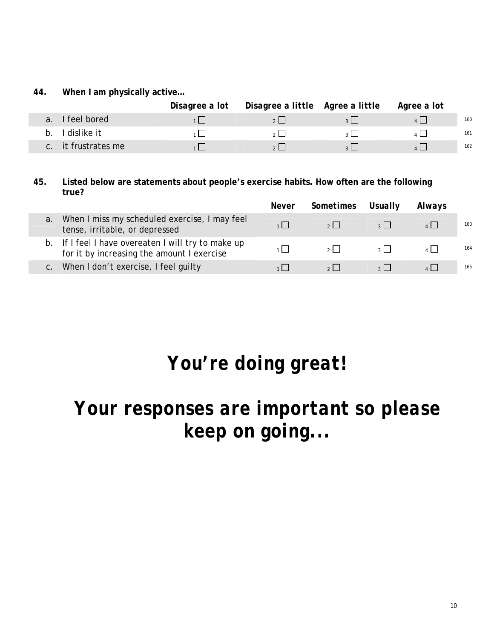**44. When I am physically active…**

|                             | Disagree a lot  Disagree a little  Agree a little  Agree a lot |                |     |
|-----------------------------|----------------------------------------------------------------|----------------|-----|
| I feel bored<br>$a_{\cdot}$ |                                                                | 2              | 160 |
| I dislike it<br>$D_{\cdot}$ |                                                                | 2 <sup>1</sup> | 161 |
| c. it frustrates me         |                                                                |                | 162 |

**45. Listed below are statements about people's exercise habits. How often are the following true?** 

|    |                                                                                                   | <i>Never</i> | Sometimes Usually |                | Always |     |
|----|---------------------------------------------------------------------------------------------------|--------------|-------------------|----------------|--------|-----|
| a. | When I miss my scheduled exercise, I may feel<br>tense, irritable, or depressed                   |              | $2 \mid$          | $\frac{1}{2}$  |        | 163 |
|    | b. If I feel I have overeaten I will try to make up<br>for it by increasing the amount I exercise |              | $\sim$ 1          | $\overline{2}$ |        | 164 |
|    | When I don't exercise, I feel guilty                                                              |              |                   |                |        | 165 |

# *You're doing great!*

# *Your responses are important so please keep on going...*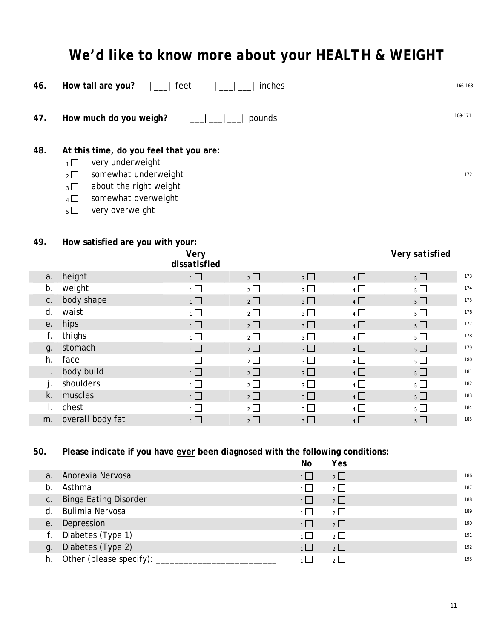# *We'd like to know more about your HEALTH & WEIGHT*

| 46.                                                                                                                                                                                                                          | How tall are you?                           | feet                 | inches         |             |            |                | 166-168 |
|------------------------------------------------------------------------------------------------------------------------------------------------------------------------------------------------------------------------------|---------------------------------------------|----------------------|----------------|-------------|------------|----------------|---------|
| 47.                                                                                                                                                                                                                          | 169-171<br>How much do you weigh?<br>pounds |                      |                |             |            |                |         |
| 48.<br>At this time, do you feel that you are:<br>very underweight<br>$1\Box$<br>somewhat underweight<br>$2\Box$<br>172<br>about the right weight<br>$3\Box$<br>somewhat overweight<br>$4\Box$<br>very overweight<br>$5\Box$ |                                             |                      |                |             |            |                |         |
|                                                                                                                                                                                                                              |                                             |                      |                |             |            |                |         |
| 49.                                                                                                                                                                                                                          |                                             |                      |                |             |            |                |         |
|                                                                                                                                                                                                                              | How satisfied are you with your:            | Very<br>dissatisfied |                |             |            | Very satisfied |         |
| a.                                                                                                                                                                                                                           | height                                      | $1 \Box$             | $2\Box$        | $3\Box$     | $4$ $\Box$ | $5\Box$        | 173     |
| b.                                                                                                                                                                                                                           | weight                                      | $\overline{1}$       | $\overline{2}$ | $_3$ $\Box$ | 4          | $5\Box$        | 174     |
| ${\mathsf C}$ .                                                                                                                                                                                                              | body shape                                  | $1\Box$              | $2\Box$        | $3\Box$     | $4$ $\Box$ | $5 \Box$       | 175     |
| d.                                                                                                                                                                                                                           | waist                                       | $\overline{1}$       | $\overline{2}$ | $_3$ $\Box$ | 4          | $5\Box$        | 176     |
| е.                                                                                                                                                                                                                           | hips                                        | $1 \Box$             | $2$ $\Box$     | $3\Box$     | $4$ $\Box$ | $5\Box$        | 177     |
| f.                                                                                                                                                                                                                           | thighs                                      | $\overline{1}$       | $2$ $\Box$     | $3\Box$     | 4          | $5\Box$        | 178     |
| g.                                                                                                                                                                                                                           | stomach                                     | $1 \Box$             | $2\Box$        | $3\Box$     | 4          | $5\Box$        | 179     |
| h.                                                                                                                                                                                                                           | face                                        | $1\Box$              | $2$ $\Box$     | $3\Box$     | $4$ $\Box$ | $5\Box$        | 180     |
| i.<br>j.                                                                                                                                                                                                                     | body build<br>shoulders                     | $1\Box$              | $\overline{2}$ | $_3$ $\Box$ | $4\Box$    | $5\Box$        | 181     |

# **50. Please indicate if you have ever been diagnosed with the following conditions:**

|                | $\tilde{\phantom{a}}$        | No             | Yes            |     |
|----------------|------------------------------|----------------|----------------|-----|
| a <sub>1</sub> | Anorexia Nervosa             | $1 \Box$       | $2\Box$        | 186 |
| $b$ .          | Asthma                       | $1 \Box$       | $\overline{2}$ | 187 |
| C <sub>1</sub> | <b>Binge Eating Disorder</b> | $\overline{1}$ | $\overline{2}$ | 188 |
| d.             | Bulimia Nervosa              | 1   I          | $\overline{2}$ | 189 |
| e.             | Depression                   | 1              | $2\Box$        | 190 |
| f.             | Diabetes (Type 1)            | 1   I          | $2\Box$        | 191 |
| g.             | Diabetes (Type 2)            | 1              | $\overline{2}$ | 192 |
| h.             | Other (please specify):      |                | 2              | 193 |

k. muscles 1 2 <sup>3</sup> <sup>4</sup> <sup>5</sup> <sup>183</sup> l. chest 1 2 <sup>3</sup> <sup>4</sup> <sup>5</sup> <sup>184</sup> m. overall body fat  $1 \square$   $2 \square$   $3 \square$   $4 \square$   $5 \square$   $1^{85}$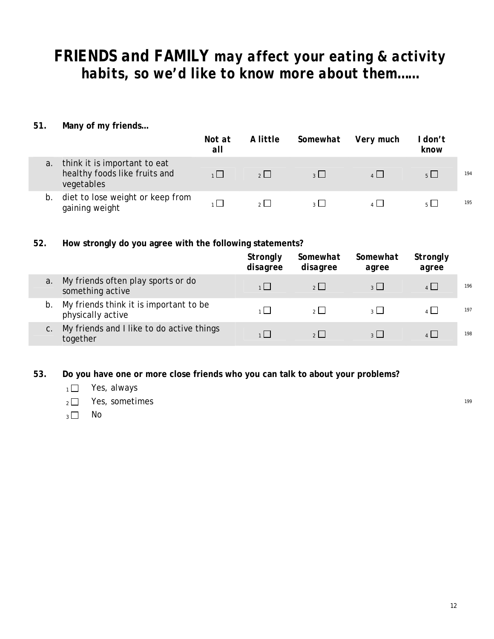# *FRIENDS and FAMILY may affect your eating & activity habits, so we'd like to know more about them……*

**51. Many of my friends…**

|    |                                                                             | Not at<br>all | A little | Somewhat             | Very much    | don't<br>know |     |
|----|-----------------------------------------------------------------------------|---------------|----------|----------------------|--------------|---------------|-----|
| a. | think it is important to eat<br>healthy foods like fruits and<br>vegetables |               | 2        | $\sim$ $\sim$ $\sim$ | $\mathbf{A}$ | $5 \mid$      | 194 |
| b. | diet to lose weight or keep from<br>gaining weight                          |               |          |                      |              |               | 195 |

#### **52. How strongly do you agree with the following statements?**

|    |                                                             | Strongly<br>disagree | Somewhat<br>disagree | Somewhat<br>agree | Strongly<br>agree |     |
|----|-------------------------------------------------------------|----------------------|----------------------|-------------------|-------------------|-----|
| a. | My friends often play sports or do<br>something active      | $1 \mid$             | 2                    | $3 \mid$          | $4$               | 196 |
| b. | My friends think it is important to be<br>physically active |                      | $2 \mid$             | $2 \mid$          |                   | 197 |
| C. | My friends and I like to do active things<br>together       |                      | 2 <sup>1</sup>       | 3 <sup>1</sup>    |                   | 198 |

**53. Do you have one or more close friends who you can talk to about your problems?** 

- $1 \square$  Yes, always
- $_2 \square$  Yes, sometimes 199
- $3 \Box$  No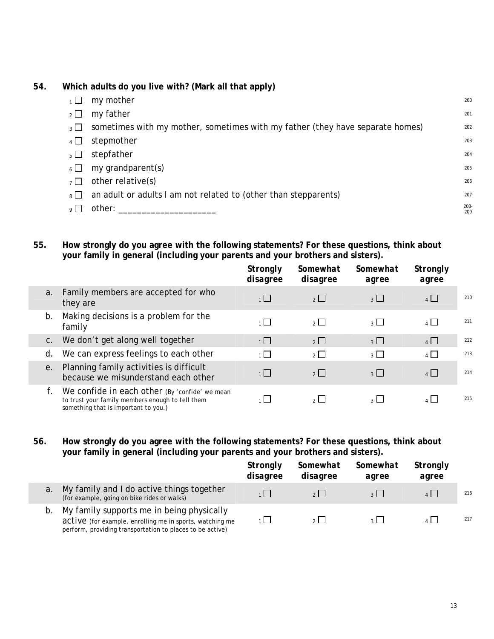#### **54. Which adults do you live with? (Mark all that apply)**

|          | my mother                                                                     | 200         |
|----------|-------------------------------------------------------------------------------|-------------|
| $2 \Box$ | my father                                                                     | 201         |
| $3 \Box$ | sometimes with my mother, sometimes with my father (they have separate homes) | 202         |
| $4 \Box$ | stepmother                                                                    | 203         |
| $5 \mid$ | stepfather                                                                    | 204         |
| $6 \Box$ | my grandparent(s)                                                             | 205         |
| $7 \mid$ | other relative(s)                                                             | 206         |
| $8 \mid$ | an adult or adults I am not related to (other than stepparents)               | 207         |
| $\Omega$ | other:                                                                        | 208-<br>209 |
|          |                                                                               |             |

**55. How strongly do you agree with the following statements? For these questions, think about your family in general (including your parents and your brothers and sisters).** 

|    |                                                                                                                                                  | Strongly<br>disagree | Somewhat<br>disagree | Somewhat<br>agree | Strongly<br>agree |     |
|----|--------------------------------------------------------------------------------------------------------------------------------------------------|----------------------|----------------------|-------------------|-------------------|-----|
|    | Family members are accepted for who<br>a.<br>they are                                                                                            | $1 \square$          | 2                    | $3\Box$           | $4 \Box$          | 210 |
|    | Making decisions is a problem for the<br>b.<br>family                                                                                            | 1                    | $2^{\mid}$           | $\overline{3}$    | 4                 | 211 |
|    | We don't get along well together<br>C.                                                                                                           | 1                    | $2 \Box$             | $_3$ $\Box$       | $\overline{4}$    | 212 |
| d. | We can express feelings to each other                                                                                                            | $1 \cup$             | $2^{\Box}$           | $\overline{3}$    | $\overline{4}$    | 213 |
|    | Planning family activities is difficult<br>е.<br>because we misunderstand each other                                                             | 1                    | 2                    | $3\Box$           | 4                 | 214 |
|    | f.<br>We confide in each other (By 'confide' we mean<br>to trust your family members enough to tell them<br>something that is important to you.) |                      | $2 \mid$             | $3^{\circ}$       | 4                 | 215 |

**56. How strongly do you agree with the following statements? For these questions, think about your family in general (including your parents and your brothers and sisters).** 

|    |                                                                                                                                                                    | Strongly<br>disagree | Somewhat<br>disagree | Somewhat<br>agree | Strongly<br>agree |     |
|----|--------------------------------------------------------------------------------------------------------------------------------------------------------------------|----------------------|----------------------|-------------------|-------------------|-----|
| a. | My family and I do active things together<br>(for example, going on bike rides or walks)                                                                           |                      |                      |                   |                   | 216 |
| b. | My family supports me in being physically<br>active (for example, enrolling me in sports, watching me<br>perform, providing transportation to places to be active) |                      |                      |                   |                   | 217 |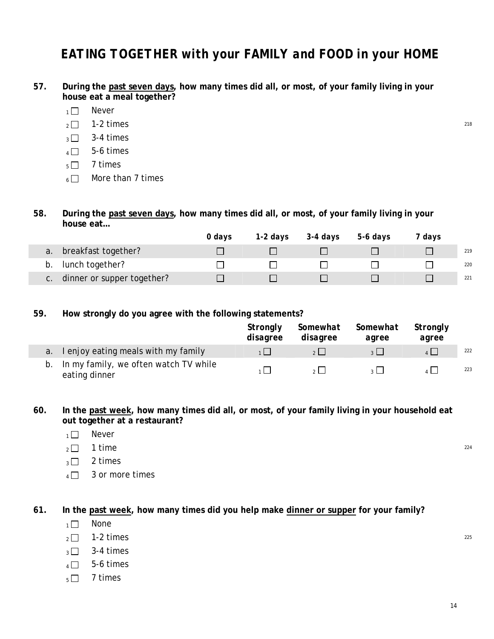## *EATING TOGETHER with your FAMILY and FOOD in your HOME*

- **57. During the past seven days, how many times did all, or most, of your family living in your house eat a meal together?** 
	- $1 \square$  Never
	- $_2\Box$  1-2 times 218
	- $_3$   $\Box$  3-4 times
	- $4 \square$  5-6 times
	- $5 \square$  7 times
	- $6 \Box$  More than 7 times

#### **58. During the past seven days, how many times did all, or most, of your family living in your house eat…**

|                                     | 0 davs | 1-2 days | 3-4 days | 5-6 days | davs |     |
|-------------------------------------|--------|----------|----------|----------|------|-----|
| breakfast together?<br>a.           |        |          |          |          |      | 219 |
| b. lunch together?                  |        |          |          |          |      | 220 |
| dinner or supper together?<br>$C$ . |        |          |          |          |      | 221 |

#### **59. How strongly do you agree with the following statements?**

|    |                                                        | Stronalv<br>disagree | Somewhat<br>disagree | Somewhat<br>agree | Strongly<br>agree |     |
|----|--------------------------------------------------------|----------------------|----------------------|-------------------|-------------------|-----|
|    | a. I enjoy eating meals with my family                 |                      | 2                    | $\overline{2}$    |                   | 222 |
| b. | In my family, we often watch TV while<br>eating dinner |                      |                      |                   |                   | 223 |

**60. In the past week, how many times did all, or most, of your family living in your household eat out together at a restaurant?** 

- $1 \square$  Never
- $_2$   $\Box$  1 time  $^{224}$
- $_3 \square$  2 times
- $4 \Box$  3 or more times

**61. In the past week, how many times did you help make dinner or supper for your family?** 

- $1 \square$  None
- $_2\Box$  1-2 times 225
- $_3$   $\Box$  3-4 times
- $4 \square$  5-6 times
- $5 \square$  7 times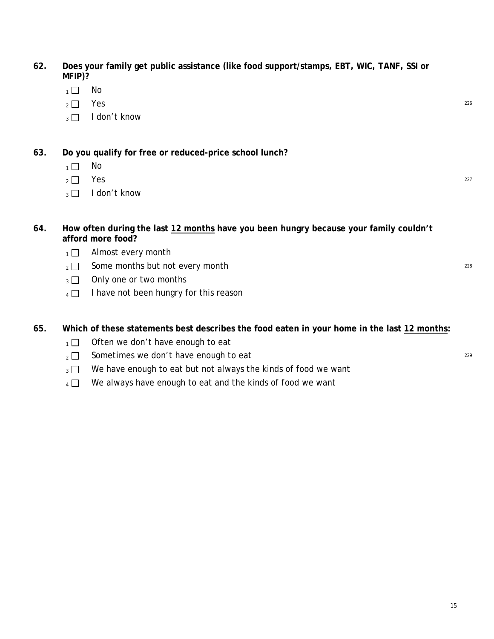- **62. Does your family get public assistance (like food support/stamps, EBT, WIC, TANF, SSI or MFIP)?** 
	- $1 \square$  No
	- $2 \Box$  Yes 226
	- $\sqrt{3}$  I don't know
- **63. Do you qualify for free or reduced-price school lunch?** 
	- $1 \square$  No
	- $2 \Box$  Yes 227
	- $_3 \Box$  I don't know

#### **64. How often during the last 12 months have you been hungry because your family couldn't afford more food?**

- $1 \square$  Almost every month
- $_2 \Box$  Some months but not every month
- $_3$   $\Box$  Only one or two months
- $4 \Box$  I have not been hungry for this reason

#### **65. Which of these statements best describes the food eaten in your home in the last 12 months:**

- $1 \Box$  Often we don't have enough to eat
- $_2$  Sometimes we don't have enough to eat 229
- $_3 \Box$  We have enough to eat but not always the kinds of food we want
- $4 \Box$  We always have enough to eat and the kinds of food we want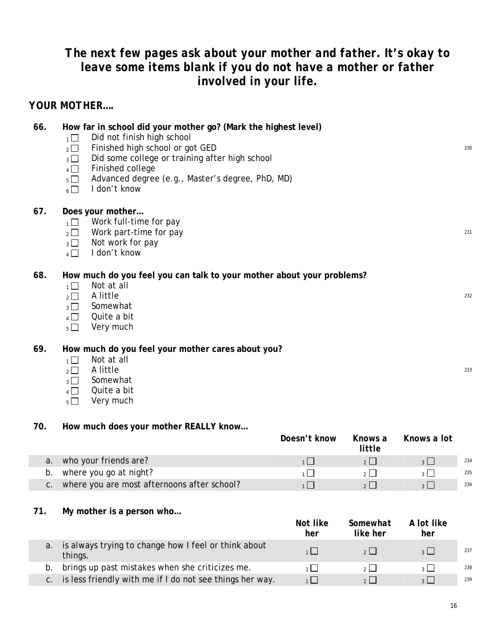## *The next few pages ask about your mother and father. It's okay to leave some items blank if you do not have a mother or father involved in your life.*

#### *YOUR MOTHER….*

| 66. | How far in school did your mother go? (Mark the highest level)<br>Did not finish high school<br>1<br>Finished high school or got GED<br>$\overline{2}$<br>Did some college or training after high school<br>$3\Box$<br>Finished college<br>$\overline{4}$<br>Advanced degree (e.g., Master's degree, PhD, MD)<br>$5\Box$<br>I don't know<br>$6\Box$ | 230 |
|-----|-----------------------------------------------------------------------------------------------------------------------------------------------------------------------------------------------------------------------------------------------------------------------------------------------------------------------------------------------------|-----|
| 67. | Does your mother<br>Work full-time for pay<br>$\overline{1}$<br>Work part-time for pay<br>$\overline{2}$<br>Not work for pay<br>$3\Box$<br>I don't know<br>$4\Box$                                                                                                                                                                                  | 231 |
| 68. | How much do you feel you can talk to your mother about your problems?<br>Not at all<br>$\overline{1}$<br>A little<br>$\overline{2}$<br>Somewhat<br>$\overline{3}$<br>Quite a bit<br>$4\Box$<br>Very much<br>$5\Box$                                                                                                                                 | 232 |
| 69. | How much do you feel your mother cares about you?<br>Not at all<br>$\overline{1}$<br>A little<br>$2^{\square}$<br>Somewhat<br>$\overline{3}$<br>Quite a bit<br>$\overline{4}$                                                                                                                                                                       | 233 |

 $5 \Box$  Very much

#### **70. How much does your mother REALLY know…**

|                                                | Doesn't know | Knows a<br>little | Knows a lot |     |
|------------------------------------------------|--------------|-------------------|-------------|-----|
| a. who your friends are?                       |              |                   |             | 234 |
| b. where you go at night?                      |              |                   |             | 235 |
| c. where you are most afternoons after school? |              |                   |             | 236 |

#### **71. My mother is a person who…**

|             |                                                                 | Not like<br>her | Somewhat<br>like her | A lot like<br>her        |     |
|-------------|-----------------------------------------------------------------|-----------------|----------------------|--------------------------|-----|
| a.          | is always trying to change how I feel or think about<br>things. |                 | 2 <sup>1</sup>       | $\overline{2}$           | 237 |
| b.          | brings up past mistakes when she criticizes me.                 |                 |                      | $\overline{\phantom{a}}$ | 238 |
| $C_{\cdot}$ | is less friendly with me if I do not see things her way.        |                 | 2 <sup>1</sup>       | $\overline{\mathcal{E}}$ | 239 |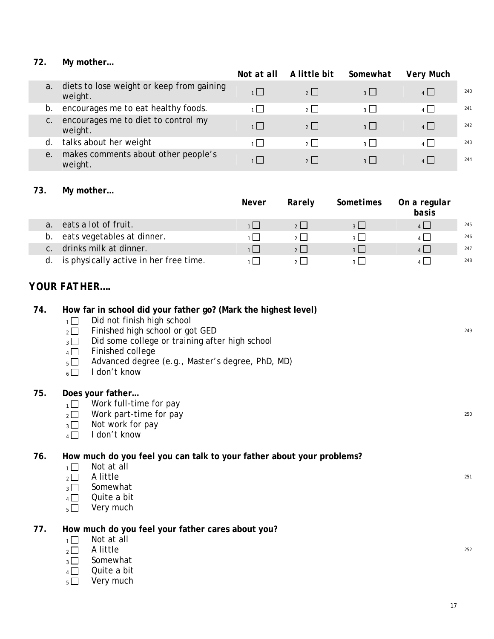#### **72. My mother…**

|    |                                                      | Not at all | A little bit   | Somewhat                 | <b>Very Much</b> |     |
|----|------------------------------------------------------|------------|----------------|--------------------------|------------------|-----|
| a. | diets to lose weight or keep from gaining<br>weight. | 1          | 2              | 3 <sup>1</sup>           | 4                | 240 |
| b. | encourages me to eat healthy foods.                  | $1 \mid$   | 2 <sup>1</sup> | $\mathcal{R}$            | $\mathbf{A}$     | 241 |
| C. | encourages me to diet to control my<br>weight.       | $1 \mid$   | 2              | $\overline{\mathcal{E}}$ | 4                | 242 |
| d. | talks about her weight                               | $1 \mid$   |                |                          | $\overline{A}$   | 243 |
| е. | makes comments about other people's<br>weight.       | 1 I        | 2 <sup>1</sup> | $\overline{2}$           | $\mathbf{A}$     | 244 |

#### **73. My mother…**

|                                          | <b>Never</b> | Rarely         | Sometimes      | On a regular<br>basis |     |
|------------------------------------------|--------------|----------------|----------------|-----------------------|-----|
| eats a lot of fruit.                     |              | 2 <sup>1</sup> | $2 \mid$       | 4                     | 245 |
| eats vegetables at dinner.<br>b.         |              | 2 <sup>1</sup> | 2 <sup>1</sup> | $\overline{1}$        | 246 |
| drinks milk at dinner.<br>C <sub>1</sub> |              | 2 <sup>1</sup> | 2 <sup>1</sup> | $\overline{4}$        | 247 |
| is physically active in her free time.   |              | $\sim$ 1       |                |                       | 248 |

#### *YOUR FATHER….*

#### **74. How far in school did your father go? (Mark the highest level)**

- $1\Box$  Did not finish high school
- $2\sqrt{2}$  Finished high school or got GED
- $_3$  Did some college or training after high school
- $4 \Box$  Finished college
- 5 Advanced degree (e.g., Master's degree, PhD, MD)
- $6 \Box$  I don't know

#### **75. Does your father…**

- $1 \Box$  Work full-time for pay
- $_2 \Box$  Work part-time for pay 250
- $_3\Box$  Not work for pay
- $_4 \Box$  I don't know

#### **76. How much do you feel you can talk to your father about your problems?**

- $\frac{1}{2}$  Not at all  $\frac{1}{2}$  A little
- $_2\Box$  A little  $^{251}$
- $_3\Box$  Somewhat
- $4 \Box$  Quite a bit
- $5 \Box$  Very much

#### **77. How much do you feel your father cares about you?**

- $1 \square$  Not at all
- $_2$   $\Box$  A little  $^{252}$
- $\sqrt{3}$  Somewhat
- $4 \Box$  Quite a bit
- $_5$  Very much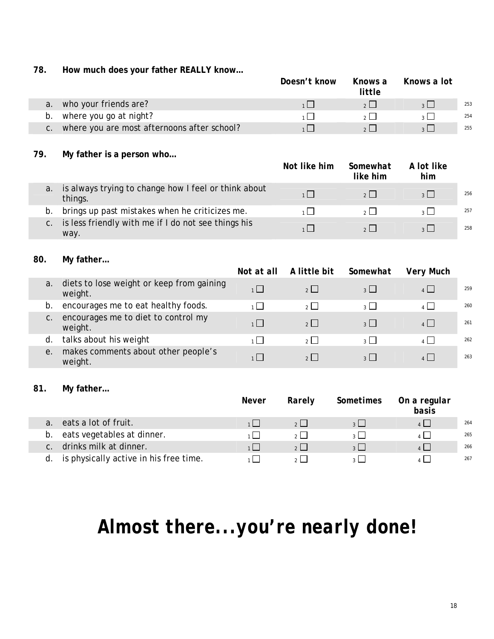**78. How much does your father REALLY know…** 

|                                                | Doesn't know | Knows a<br>little | Knows a lot    |     |
|------------------------------------------------|--------------|-------------------|----------------|-----|
| a. who your friends are?                       |              |                   | $2$            | 253 |
| b. where you go at night?                      |              |                   |                | 254 |
| c. where you are most afternoons after school? |              |                   | $\overline{2}$ | 255 |

#### **79. My father is a person who…**

|                |                                                                 | Not like him | Somewhat<br>like him | A lot like<br>him        |     |
|----------------|-----------------------------------------------------------------|--------------|----------------------|--------------------------|-----|
| a.             | is always trying to change how I feel or think about<br>things. |              | $2 \mid$             | $\overline{\mathcal{E}}$ | 256 |
| b.             | brings up past mistakes when he criticizes me.                  |              | $\sim$ $\sim$        | $\overline{\mathbf{3}}$  | 257 |
| $\mathsf{C}$ . | is less friendly with me if I do not see things his<br>way.     |              | 2                    | $\frac{1}{3}$            | 258 |

#### **80. My father…**

|    |                                                      | Not at all     | A little bit   | Somewhat       | <b>Very Much</b> |     |
|----|------------------------------------------------------|----------------|----------------|----------------|------------------|-----|
| a. | diets to lose weight or keep from gaining<br>weight. | 1              | 2              | $3 \mid$       | $4 \Box$         | 259 |
| b. | encourages me to eat healthy foods.                  | $\overline{1}$ | 2 <sup>1</sup> | 3 <sup>1</sup> | $\mathbf{A}$     | 260 |
| C. | encourages me to diet to control my<br>weight.       | 1              | $2$            | $3 \mid$       | $4$ $\Box$       | 261 |
| d. | talks about his weight                               | $1 \mid$       | $\mathcal{P}$  | 3 <sup>1</sup> | $\mathbf{A}$     | 262 |
| е. | makes comments about other people's<br>weight.       | 1              | 2 <sup>1</sup> | $3^{\circ}$    | $\mathbf{A}$     | 263 |

#### **81. My father…**

|             |                                        | <i>Never</i> | Rarely         | Sometimes | On a regular<br>basis |     |
|-------------|----------------------------------------|--------------|----------------|-----------|-----------------------|-----|
| $a_{\cdot}$ | eats a lot of fruit.                   |              | 2 <sup>1</sup> |           | 4                     | 264 |
| b.          | eats vegetables at dinner.             |              |                |           | 4 I I                 | 265 |
| $C$ .       | drinks milk at dinner.                 |              | 2 <sup>1</sup> | $2 \mid$  | $4$                   | 266 |
| d.          | is physically active in his free time. |              |                |           |                       | 267 |

# *Almost there...you're nearly done!*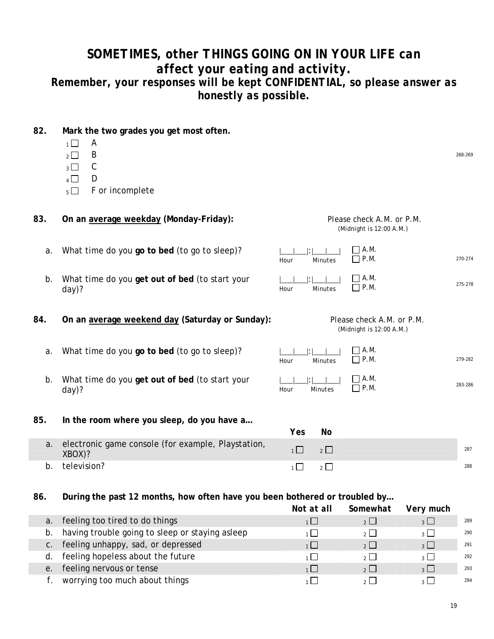## *SOMETIMES, other THINGS GOING ON IN YOUR LIFE can affect your eating and activity. Remember, your responses will be kept CONFIDENTIAL, so please answer as honestly as possible.*

#### **82. Mark the two grades you get most often.**

- $1 \square$  A
- $2 \Box$  B 268-269
- $3 \Box$  C
- $4 \Box$  D
- $5 \Box$  F or incomplete
- **83. On an average weekday (Monday-Friday):** *Please check A.M. or P.M.*

#### *(Midnight is 12:00 A.M.)*

P.M. 270-274

 $P.M.$  275-278

P.M. 279-282

P.M. 283-286

 $\Box$  A.M.

 $\Box$  A.M.

 *(Midnight is 12:00 A.M.)* 

A.M.

 $\Box$  A.M.

*Hour Minutes*

|\_\_\_|\_\_\_|:|\_\_\_|\_\_\_| *Hour Minutes* 

*Hour Minutes*

|\_\_\_|\_\_\_|:|\_\_\_|\_\_\_| *Hour Minutes* 

- a. What time do you go to bed (to go to sleep)?  $\Box$
- b. What time do you **get out of bed** (to start your day)?
- **84. On an average weekend day (Saturday or Sunday):** *Please check A.M. or P.M.*
	- a. What time do you **go to bed** (to go to sleep)?  $| \cdot |$
	- b. What time do you **get out of bed** (to start your day)?

#### **85. In the room where you sleep, do you have a…**

|    |                                                                 | Yes | No     |     |
|----|-----------------------------------------------------------------|-----|--------|-----|
|    | a. electronic game console (for example, Playstation,<br>XBOX)? |     | $\sim$ | 287 |
| b. | television?                                                     |     |        | 288 |

**86. During the past 12 months, how often have you been bothered or troubled by…**

|    |                                                 | Not at all | Somewhat    | Very much                |     |
|----|-------------------------------------------------|------------|-------------|--------------------------|-----|
| a. | feeling too tired to do things                  |            | 2           | $3 \mid$                 | 289 |
| b. | having trouble going to sleep or staying asleep |            | $2^{\circ}$ | $\overline{\mathbf{a}}$  | 290 |
| C. | feeling unhappy, sad, or depressed              |            | 2           | $\overline{3}$           | 291 |
| d. | feeling hopeless about the future               |            | $\sim$ 1    | $\overline{2}$           | 292 |
| е. | feeling nervous or tense                        |            | 2           | $\overline{\mathcal{E}}$ | 293 |
|    | worrying too much about things                  |            |             | $\sim$ 1                 | 294 |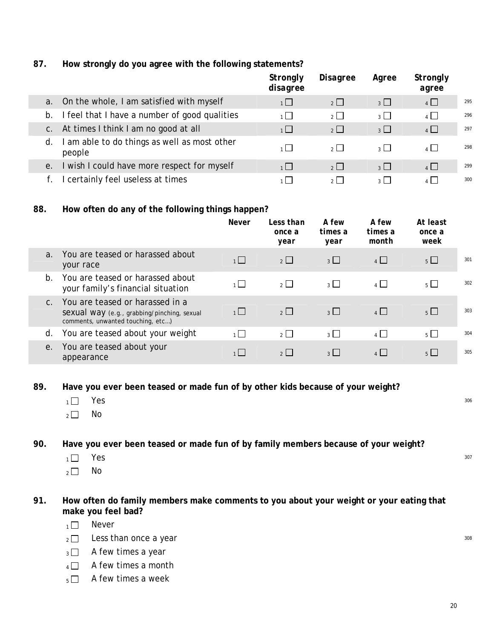#### **87. How strongly do you agree with the following statements?**

|    |                                                        | Strongly<br>disagree | <b>Disagree</b>       | Agree          | Strongly<br>agree |     |
|----|--------------------------------------------------------|----------------------|-----------------------|----------------|-------------------|-----|
| a. | On the whole, I am satisfied with myself               | 1                    | $2 \Box$              | $3 \Box$       | $4\Box$           | 295 |
| b. | I feel that I have a number of good qualities          | $1 \mid$             | $\overline{2}$ $\Box$ | $_3$ $\Box$    | $4$ $\Box$        | 296 |
| C. | At times I think I am no good at all                   | $\overline{1}$       | $\overline{2}$        | $3\Box$        | $4$ $\Box$        | 297 |
| d. | I am able to do things as well as most other<br>people | $1 \mid$             | $2$ $\Box$            | 3 <sup>1</sup> | 4                 | 298 |
| е. | I wish I could have more respect for myself            | 1                    | $2 \Box$              | $3 \Box$       | $4$ $\Box$        | 299 |
|    | I certainly feel useless at times                      | $1 \mid$             | $2^{\mid}$            | 2 <sup>1</sup> |                   | 300 |

#### **88. How often do any of the following things happen?**

|                |                                                                                                                     | <b>Never</b>   | Less than<br>once a<br>year | A few<br>times a<br>year | A few<br>times a<br>month | At least<br>once a<br>week |     |
|----------------|---------------------------------------------------------------------------------------------------------------------|----------------|-----------------------------|--------------------------|---------------------------|----------------------------|-----|
| a <sub>1</sub> | You are teased or harassed about<br>your race                                                                       | 1              | 2                           | $3 \mid$                 | 4                         | $5\Box$                    | 301 |
| $b$ .          | You are teased or harassed about<br>your family's financial situation                                               | $1 \mid$       | $2^{\Box}$                  | $3 \Box$                 | 4                         | $5\Box$                    | 302 |
| $C$ .          | You are teased or harassed in a<br>Sexual Way (e.g., grabbing/pinching, sexual<br>comments, unwanted touching, etc) | 1              | $\overline{2}$              | $_3$ $\Box$              | $4\Box$                   | $5 \Box$                   | 303 |
| d.             | You are teased about your weight                                                                                    | $\overline{1}$ | $\overline{2}$              | 3 <sup>1</sup>           | $\overline{4}$            | $5\Box$                    | 304 |
| e.             | You are teased about your<br>appearance                                                                             |                | $2$                         | $3 \mid$                 | 4                         | $5 \mid$                   | 305 |

**89. Have you ever been teased or made fun of by other kids because of your weight?** 

- $\overline{1}$  Yes  $^{306}$
- $_2\square$  No

**90. Have you ever been teased or made fun of by family members because of your weight?** 

- $\overline{1 \cup 1}$  Yes  $^{307}$
- $2 \square$  No

**91. How often do family members make comments to you about your weight or your eating that make you feel bad?** 

- $1 \Box$  Never
- $_2\square$  Less than once a year 308
- $_3\Box$  A few times a year
- $4 \Box$  A few times a month
- $_5\Box$  A few times a week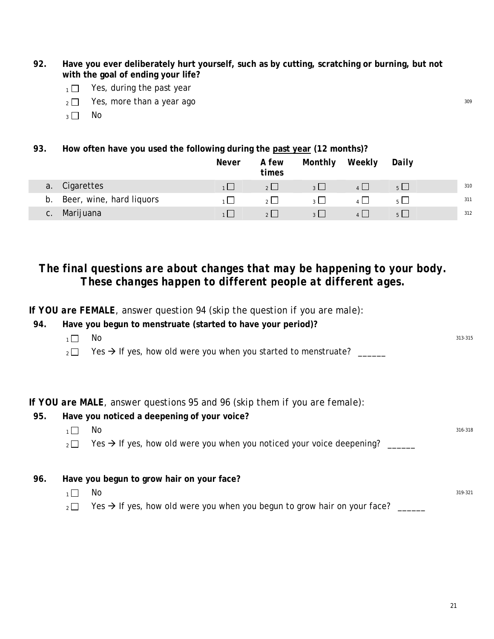- **92. Have you ever deliberately hurt yourself, such as by cutting, scratching or burning, but not with the goal of ending your life?**
	- $1 \Box$  Yes, during the past year
	- $_2 \Box$  Yes, more than a year ago  $_309$
	- $3 \square$  No
- **93. How often have you used the following during the past year (12 months)?**

|    |                          | Never | A few<br>times | Monthly        | Weekly | Daily |     |
|----|--------------------------|-------|----------------|----------------|--------|-------|-----|
|    | a. Cigarettes            |       | $2 \perp$      | $3 \Box$       |        |       | 310 |
| b. | Beer, wine, hard liquors |       | $2 \mid$       | 3 <sup>1</sup> |        |       | 311 |
| C. | Marijuana                |       | 2              | $3 \mid$       |        |       | 312 |

### *The final questions are about changes that may be happening to your body. These changes happen to different people at different ages.*

*If YOU are FEMALE, answer question 94 (skip the question if you are male):*  **94. Have you begun to menstruate (started to have your period)?** 

| 94. | Have you begun to menstruate (started to have your period)?                                           |         |
|-----|-------------------------------------------------------------------------------------------------------|---------|
|     | No<br>$1 \mid$                                                                                        | 313-315 |
|     | Yes $\rightarrow$ If yes, how old were you when you started to menstruate?<br>$2^{\vert}$             |         |
|     |                                                                                                       |         |
|     | If YOU are MALE, answer questions 95 and 96 (skip them if you are female):                            |         |
| 95. | Have you noticed a deepening of your voice?                                                           |         |
|     | No<br>$1 \mid$                                                                                        | 316-318 |
|     | Yes $\rightarrow$ If yes, how old were you when you noticed your voice deepening?<br>2                |         |
|     |                                                                                                       |         |
| 96. | Have you begun to grow hair on your face?                                                             |         |
|     | No<br>$1 \mid$                                                                                        | 319-321 |
|     | Yes $\rightarrow$ If yes, how old were you when you begun to grow hair on your face?<br>$2^{\square}$ |         |
|     |                                                                                                       |         |